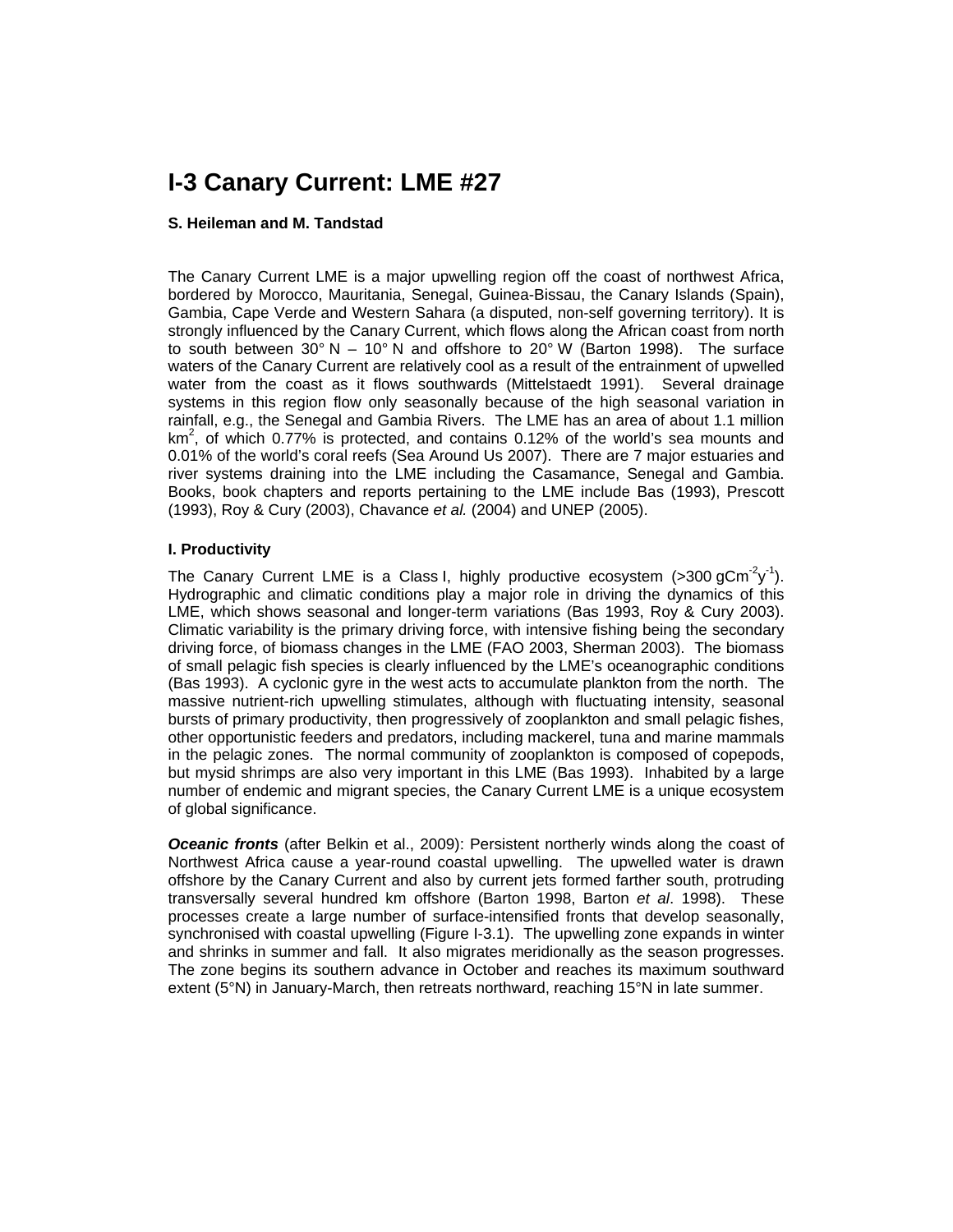# **I-3 Canary Current: LME #27**

#### **S. Heileman and M. Tandstad**

The Canary Current LME is a major upwelling region off the coast of northwest Africa, bordered by Morocco, Mauritania, Senegal, Guinea-Bissau, the Canary Islands (Spain), Gambia, Cape Verde and Western Sahara (a disputed, non-self governing territory). It is strongly influenced by the Canary Current, which flows along the African coast from north to south between  $30^{\circ}$  N – 10° N and offshore to 20° W (Barton 1998). The surface waters of the Canary Current are relatively cool as a result of the entrainment of upwelled water from the coast as it flows southwards (Mittelstaedt 1991). Several drainage systems in this region flow only seasonally because of the high seasonal variation in rainfall, e.g., the Senegal and Gambia Rivers. The LME has an area of about 1.1 million km<sup>2</sup>, of which 0.77% is protected, and contains 0.12% of the world's sea mounts and 0.01% of the world's coral reefs (Sea Around Us 2007). There are 7 major estuaries and river systems draining into the LME including the Casamance, Senegal and Gambia. Books, book chapters and reports pertaining to the LME include Bas (1993), Prescott (1993), Roy & Cury (2003), Chavance *et al.* (2004) and UNEP (2005).

### **I. Productivity**

The Canary Current LME is a Class I, highly productive ecosystem (>300 gCm<sup>-2</sup>y<sup>-1</sup>). Hydrographic and climatic conditions play a major role in driving the dynamics of this LME, which shows seasonal and longer-term variations (Bas 1993, Roy & Cury 2003). Climatic variability is the primary driving force, with intensive fishing being the secondary driving force, of biomass changes in the LME (FAO 2003, Sherman 2003). The biomass of small pelagic fish species is clearly influenced by the LME's oceanographic conditions (Bas 1993). A cyclonic gyre in the west acts to accumulate plankton from the north. The massive nutrient-rich upwelling stimulates, although with fluctuating intensity, seasonal bursts of primary productivity, then progressively of zooplankton and small pelagic fishes, other opportunistic feeders and predators, including mackerel, tuna and marine mammals in the pelagic zones. The normal community of zooplankton is composed of copepods, but mysid shrimps are also very important in this LME (Bas 1993). Inhabited by a large number of endemic and migrant species, the Canary Current LME is a unique ecosystem of global significance.

*Oceanic fronts* (after Belkin et al., 2009): Persistent northerly winds along the coast of Northwest Africa cause a year-round coastal upwelling. The upwelled water is drawn offshore by the Canary Current and also by current jets formed farther south, protruding transversally several hundred km offshore (Barton 1998, Barton *et al*. 1998). These processes create a large number of surface-intensified fronts that develop seasonally, synchronised with coastal upwelling (Figure I-3.1). The upwelling zone expands in winter and shrinks in summer and fall. It also migrates meridionally as the season progresses. The zone begins its southern advance in October and reaches its maximum southward extent (5°N) in January-March, then retreats northward, reaching 15°N in late summer.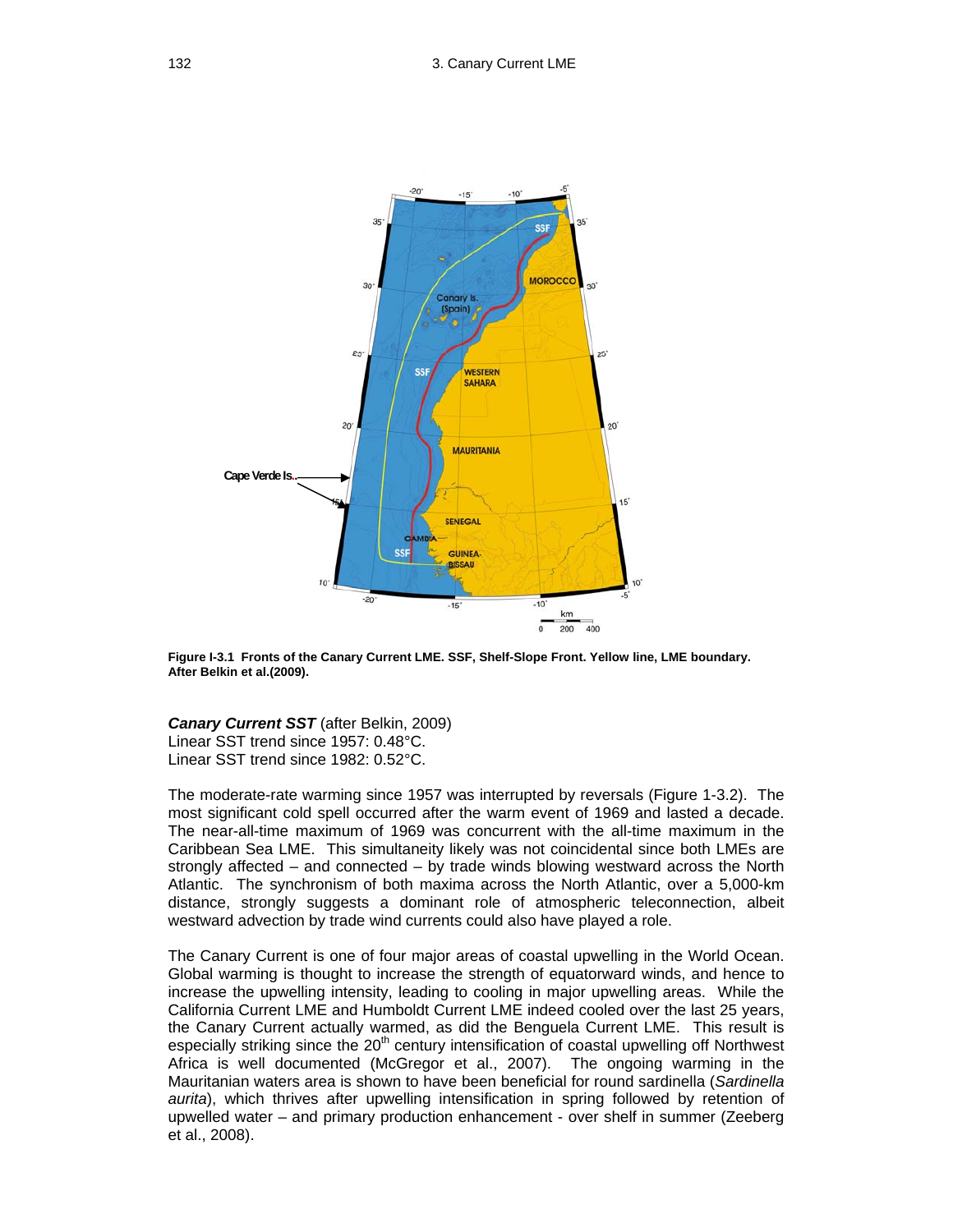

**Figure I-3.1 Fronts of the Canary Current LME. SSF, Shelf-Slope Front. Yellow line, LME boundary. After Belkin et al.(2009).**

*Canary Current SST* (after Belkin, 2009) Linear SST trend since 1957: 0.48°C. Linear SST trend since 1982: 0.52°C.

The moderate-rate warming since 1957 was interrupted by reversals (Figure 1-3.2). The most significant cold spell occurred after the warm event of 1969 and lasted a decade. The near-all-time maximum of 1969 was concurrent with the all-time maximum in the Caribbean Sea LME. This simultaneity likely was not coincidental since both LMEs are strongly affected – and connected – by trade winds blowing westward across the North Atlantic. The synchronism of both maxima across the North Atlantic, over a 5,000-km distance, strongly suggests a dominant role of atmospheric teleconnection, albeit westward advection by trade wind currents could also have played a role.

The Canary Current is one of four major areas of coastal upwelling in the World Ocean. Global warming is thought to increase the strength of equatorward winds, and hence to increase the upwelling intensity, leading to cooling in major upwelling areas. While the California Current LME and Humboldt Current LME indeed cooled over the last 25 years, the Canary Current actually warmed, as did the Benguela Current LME. This result is especially striking since the  $20<sup>th</sup>$  century intensification of coastal upwelling off Northwest Africa is well documented (McGregor et al., 2007). The ongoing warming in the Mauritanian waters area is shown to have been beneficial for round sardinella (*Sardinella aurita*), which thrives after upwelling intensification in spring followed by retention of upwelled water – and primary production enhancement - over shelf in summer (Zeeberg et al., 2008).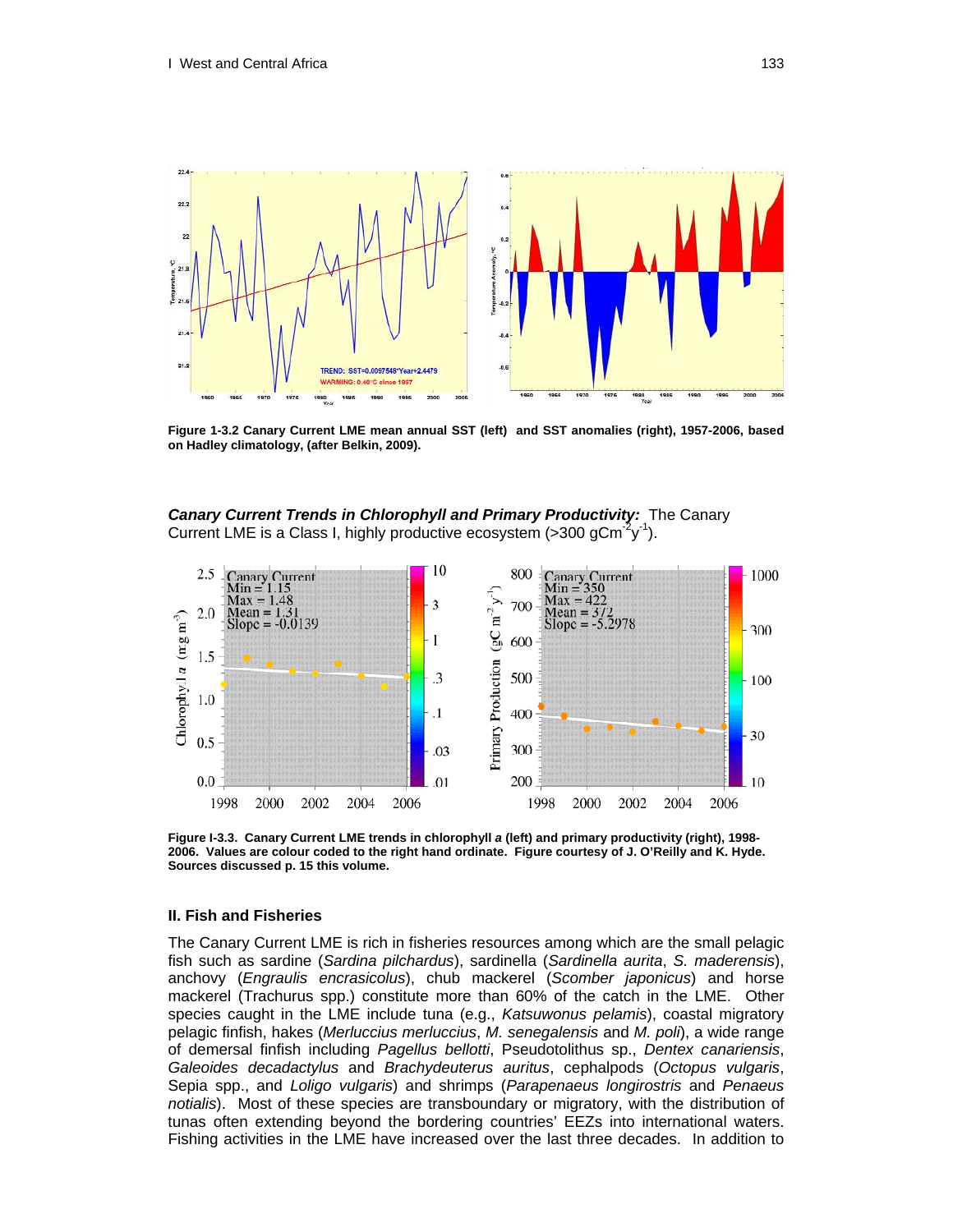

**Figure 1-3.2 Canary Current LME mean annual SST (left) and SST anomalies (right), 1957-2006, based on Hadley climatology, (after Belkin, 2009).** 

*Canary Current Trends in Chlorophyll and Primary Productivity:* The Canary Current LME is a Class I, highly productive ecosystem ( $>$ 300 gCm<sup>-2</sup>y<sup>-1</sup>).



**Figure I-3.3. Canary Current LME trends in chlorophyll** *a* **(left) and primary productivity (right), 1998- 2006. Values are colour coded to the right hand ordinate. Figure courtesy of J. O'Reilly and K. Hyde. Sources discussed p. 15 this volume.** 

#### **II. Fish and Fisheries**

The Canary Current LME is rich in fisheries resources among which are the small pelagic fish such as sardine (*Sardina pilchardus*), sardinella (*Sardinella aurita*, *S. maderensis*), anchovy (*Engraulis encrasicolus*), chub mackerel (*Scomber japonicus*) and horse mackerel (Trachurus spp.) constitute more than 60% of the catch in the LME. Other species caught in the LME include tuna (e.g., *Katsuwonus pelamis*), coastal migratory pelagic finfish, hakes (*Merluccius merluccius*, *M. senegalensis* and *M. poli*), a wide range of demersal finfish including *Pagellus bellotti*, Pseudotolithus sp., *Dentex canariensis*, *Galeoides decadactylus* and *Brachydeuterus auritus*, cephalpods (*Octopus vulgaris*, Sepia spp., and *Loligo vulgaris*) and shrimps (*Parapenaeus longirostris* and *Penaeus notialis*). Most of these species are transboundary or migratory, with the distribution of tunas often extending beyond the bordering countries' EEZs into international waters. Fishing activities in the LME have increased over the last three decades. In addition to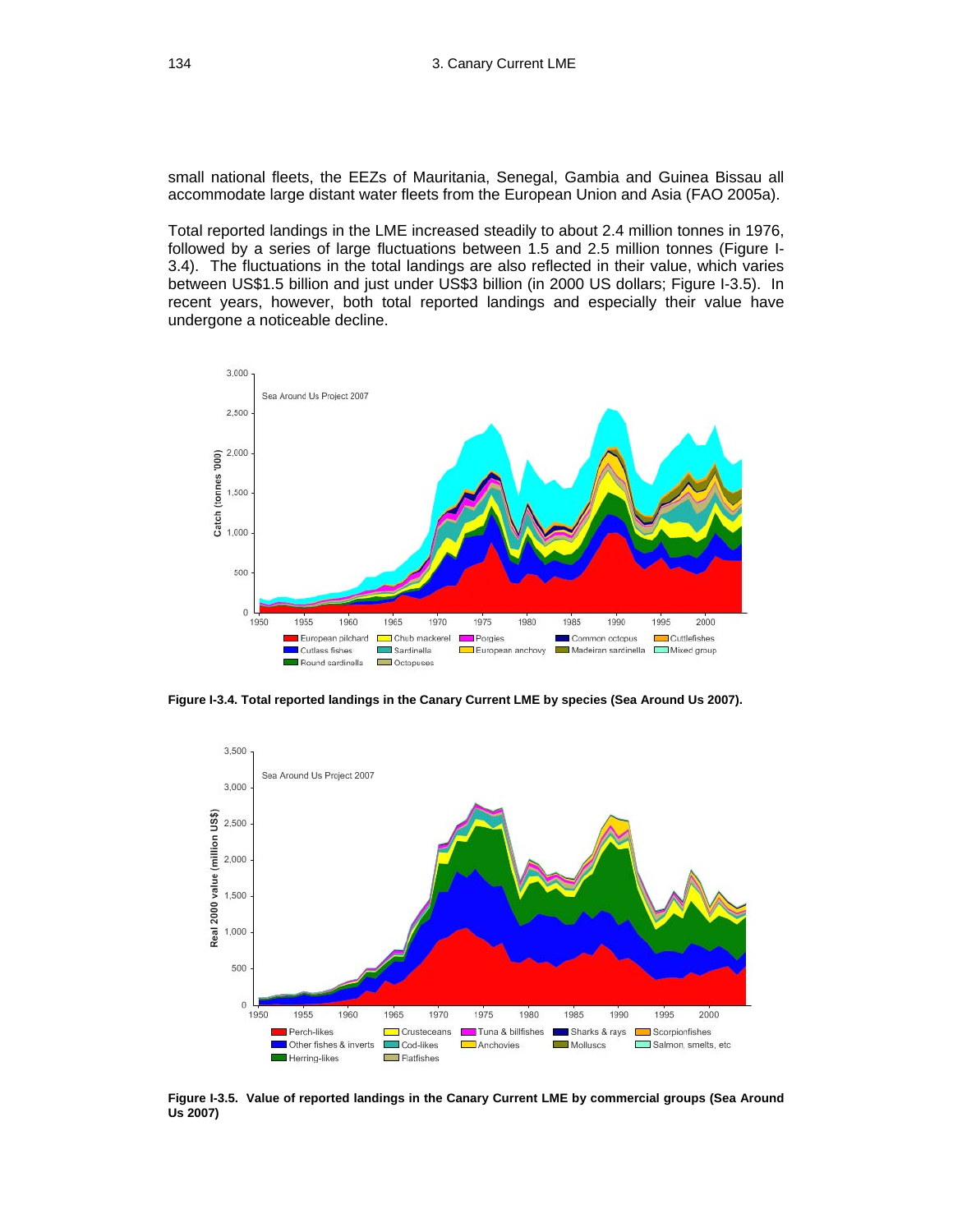small national fleets, the EEZs of Mauritania, Senegal, Gambia and Guinea Bissau all accommodate large distant water fleets from the European Union and Asia (FAO 2005a).

Total reported landings in the LME increased steadily to about 2.4 million tonnes in 1976, followed by a series of large fluctuations between 1.5 and 2.5 million tonnes (Figure I-3.4). The fluctuations in the total landings are also reflected in their value, which varies between US\$1.5 billion and just under US\$3 billion (in 2000 US dollars; Figure I-3.5). In recent years, however, both total reported landings and especially their value have undergone a noticeable decline.



**Figure I-3.4. Total reported landings in the Canary Current LME by species (Sea Around Us 2007).** 



**Figure I-3.5. Value of reported landings in the Canary Current LME by commercial groups (Sea Around Us 2007)**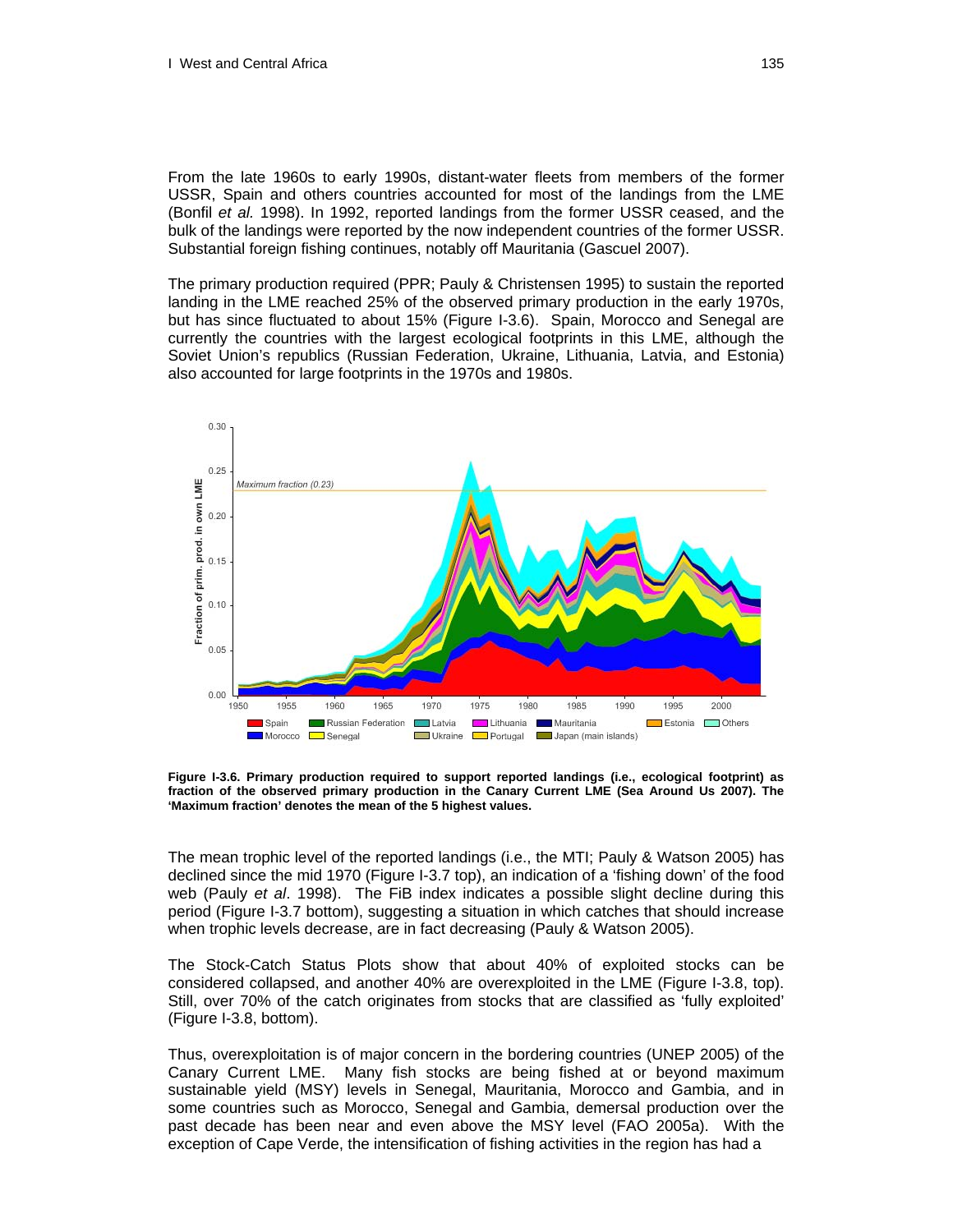From the late 1960s to early 1990s, distant-water fleets from members of the former USSR, Spain and others countries accounted for most of the landings from the LME (Bonfil *et al.* 1998). In 1992, reported landings from the former USSR ceased, and the bulk of the landings were reported by the now independent countries of the former USSR. Substantial foreign fishing continues, notably off Mauritania (Gascuel 2007).

The primary production required (PPR; Pauly & Christensen 1995) to sustain the reported landing in the LME reached 25% of the observed primary production in the early 1970s, but has since fluctuated to about 15% (Figure I-3.6). Spain, Morocco and Senegal are currently the countries with the largest ecological footprints in this LME, although the Soviet Union's republics (Russian Federation, Ukraine, Lithuania, Latvia, and Estonia) also accounted for large footprints in the 1970s and 1980s.



**Figure I-3.6. Primary production required to support reported landings (i.e., ecological footprint) as fraction of the observed primary production in the Canary Current LME (Sea Around Us 2007). The 'Maximum fraction' denotes the mean of the 5 highest values.** 

The mean trophic level of the reported landings (i.e., the MTI; Pauly & Watson 2005) has declined since the mid 1970 (Figure I-3.7 top), an indication of a 'fishing down' of the food web (Pauly *et al*. 1998). The FiB index indicates a possible slight decline during this period (Figure I-3.7 bottom), suggesting a situation in which catches that should increase when trophic levels decrease, are in fact decreasing (Pauly & Watson 2005).

The Stock-Catch Status Plots show that about 40% of exploited stocks can be considered collapsed, and another 40% are overexploited in the LME (Figure I-3.8, top). Still, over 70% of the catch originates from stocks that are classified as 'fully exploited' (Figure I-3.8, bottom).

Thus, overexploitation is of major concern in the bordering countries (UNEP 2005) of the Canary Current LME. Many fish stocks are being fished at or beyond maximum sustainable yield (MSY) levels in Senegal, Mauritania, Morocco and Gambia, and in some countries such as Morocco, Senegal and Gambia, demersal production over the past decade has been near and even above the MSY level (FAO 2005a).With the exception of Cape Verde, the intensification of fishing activities in the region has had a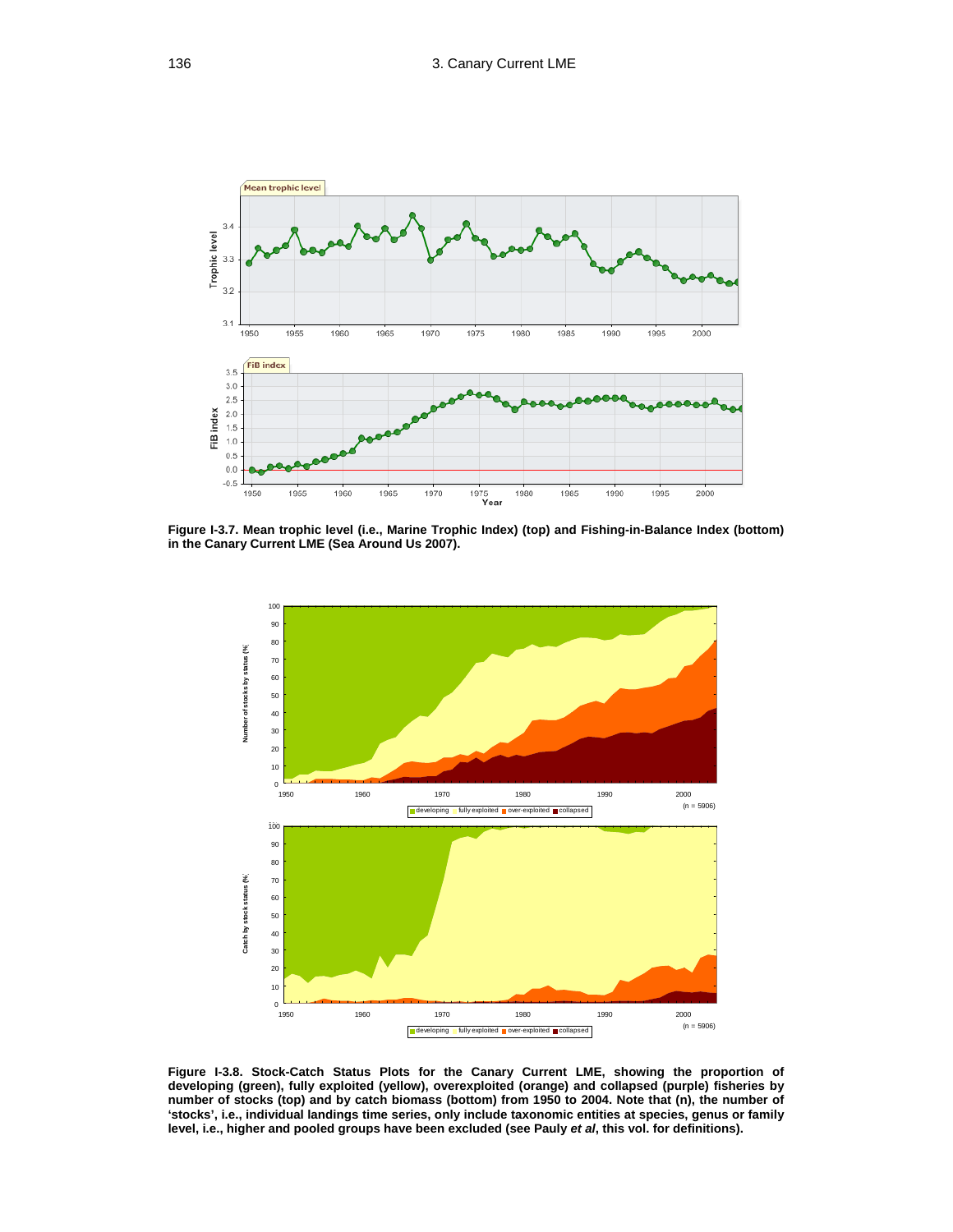

**Figure I-3.7. Mean trophic level (i.e., Marine Trophic Index) (top) and Fishing-in-Balance Index (bottom) in the Canary Current LME (Sea Around Us 2007).** 



**Figure I-3.8. Stock-Catch Status Plots for the Canary Current LME, showing the proportion of developing (green), fully exploited (yellow), overexploited (orange) and collapsed (purple) fisheries by number of stocks (top) and by catch biomass (bottom) from 1950 to 2004. Note that (n), the number of 'stocks', i.e., individual landings time series, only include taxonomic entities at species, genus or family level, i.e., higher and pooled groups have been excluded (see Pauly** *et al***, this vol. for definitions).**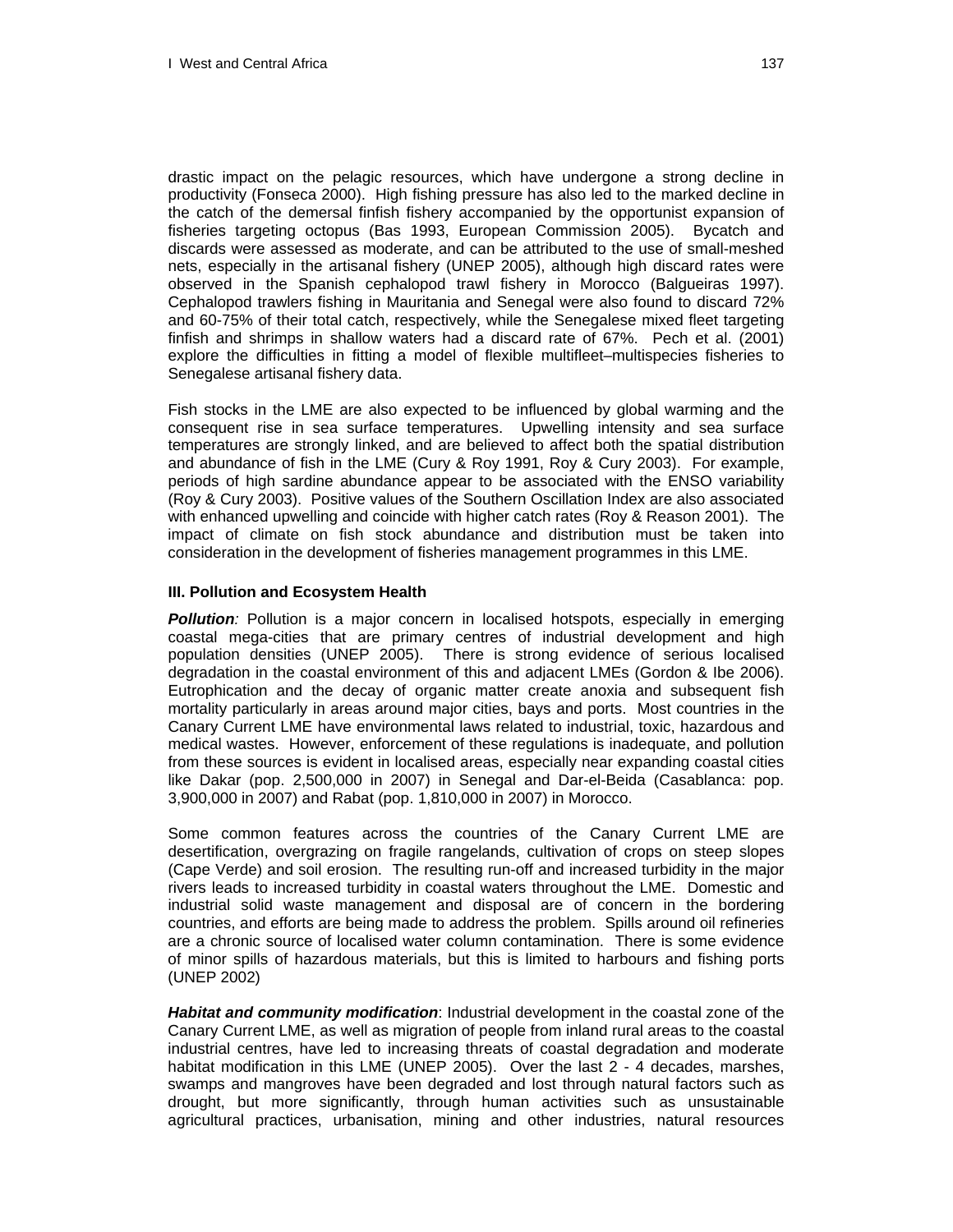drastic impact on the pelagic resources, which have undergone a strong decline in productivity (Fonseca 2000). High fishing pressure has also led to the marked decline in the catch of the demersal finfish fishery accompanied by the opportunist expansion of fisheries targeting octopus (Bas 1993, European Commission 2005). Bycatch and discards were assessed as moderate, and can be attributed to the use of small-meshed nets, especially in the artisanal fishery (UNEP 2005), although high discard rates were observed in the Spanish cephalopod trawl fishery in Morocco (Balgueiras 1997). Cephalopod trawlers fishing in Mauritania and Senegal were also found to discard 72% and 60-75% of their total catch, respectively, while the Senegalese mixed fleet targeting finfish and shrimps in shallow waters had a discard rate of 67%. Pech et al. (2001) explore the difficulties in fitting a model of flexible multifleet–multispecies fisheries to Senegalese artisanal fishery data.

Fish stocks in the LME are also expected to be influenced by global warming and the consequent rise in sea surface temperatures. Upwelling intensity and sea surface temperatures are strongly linked, and are believed to affect both the spatial distribution and abundance of fish in the LME (Cury & Roy 1991, Roy & Cury 2003). For example, periods of high sardine abundance appear to be associated with the ENSO variability (Roy & Cury 2003). Positive values of the Southern Oscillation Index are also associated with enhanced upwelling and coincide with higher catch rates (Roy & Reason 2001). The impact of climate on fish stock abundance and distribution must be taken into consideration in the development of fisheries management programmes in this LME.

#### **III. Pollution and Ecosystem Health**

**Pollution**: Pollution is a major concern in localised hotspots, especially in emerging coastal mega-cities that are primary centres of industrial development and high population densities (UNEP 2005). There is strong evidence of serious localised degradation in the coastal environment of this and adjacent LMEs (Gordon & Ibe 2006). Eutrophication and the decay of organic matter create anoxia and subsequent fish mortality particularly in areas around major cities, bays and ports. Most countries in the Canary Current LME have environmental laws related to industrial, toxic, hazardous and medical wastes. However, enforcement of these regulations is inadequate, and pollution from these sources is evident in localised areas, especially near expanding coastal cities like Dakar (pop. 2,500,000 in 2007) in Senegal and Dar-el-Beida (Casablanca: pop. 3,900,000 in 2007) and Rabat (pop. 1,810,000 in 2007) in Morocco.

Some common features across the countries of the Canary Current LME are desertification, overgrazing on fragile rangelands, cultivation of crops on steep slopes (Cape Verde) and soil erosion. The resulting run-off and increased turbidity in the major rivers leads to increased turbidity in coastal waters throughout the LME. Domestic and industrial solid waste management and disposal are of concern in the bordering countries, and efforts are being made to address the problem. Spills around oil refineries are a chronic source of localised water column contamination. There is some evidence of minor spills of hazardous materials, but this is limited to harbours and fishing ports (UNEP 2002)

*Habitat and community modification*: Industrial development in the coastal zone of the Canary Current LME, as well as migration of people from inland rural areas to the coastal industrial centres, have led to increasing threats of coastal degradation and moderate habitat modification in this LME (UNEP 2005). Over the last 2 - 4 decades, marshes, swamps and mangroves have been degraded and lost through natural factors such as drought, but more significantly, through human activities such as unsustainable agricultural practices, urbanisation, mining and other industries, natural resources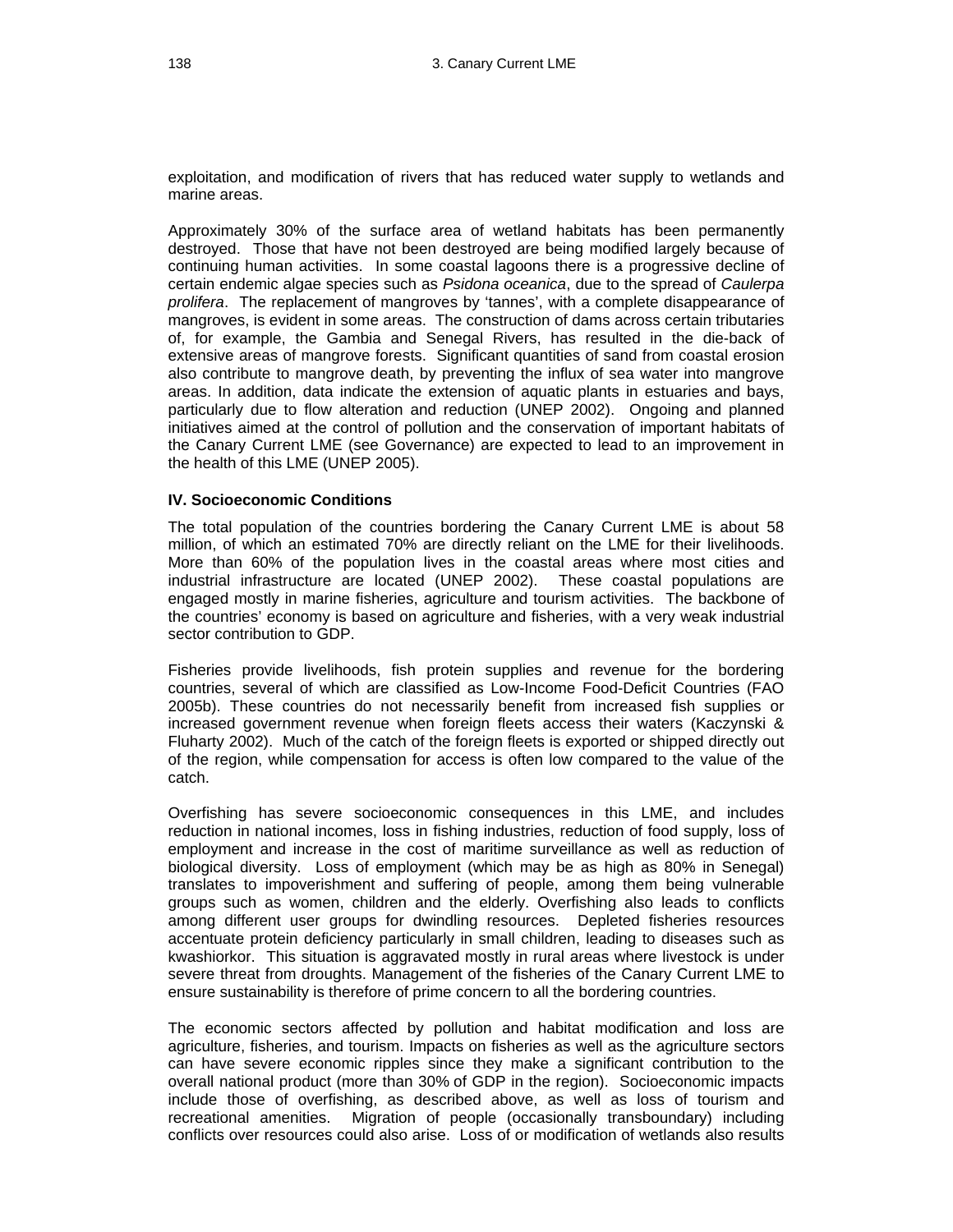exploitation, and modification of rivers that has reduced water supply to wetlands and marine areas.

Approximately 30% of the surface area of wetland habitats has been permanently destroyed. Those that have not been destroyed are being modified largely because of continuing human activities. In some coastal lagoons there is a progressive decline of certain endemic algae species such as *Psidona oceanica*, due to the spread of *Caulerpa prolifera*. The replacement of mangroves by 'tannes', with a complete disappearance of mangroves, is evident in some areas. The construction of dams across certain tributaries of, for example, the Gambia and Senegal Rivers, has resulted in the die-back of extensive areas of mangrove forests. Significant quantities of sand from coastal erosion also contribute to mangrove death, by preventing the influx of sea water into mangrove areas. In addition, data indicate the extension of aquatic plants in estuaries and bays, particularly due to flow alteration and reduction (UNEP 2002). Ongoing and planned initiatives aimed at the control of pollution and the conservation of important habitats of the Canary Current LME (see Governance) are expected to lead to an improvement in the health of this LME (UNEP 2005).

#### **IV. Socioeconomic Conditions**

The total population of the countries bordering the Canary Current LME is about 58 million, of which an estimated 70% are directly reliant on the LME for their livelihoods. More than 60% of the population lives in the coastal areas where most cities and industrial infrastructure are located (UNEP 2002). These coastal populations are engaged mostly in marine fisheries, agriculture and tourism activities. The backbone of the countries' economy is based on agriculture and fisheries, with a very weak industrial sector contribution to GDP.

Fisheries provide livelihoods, fish protein supplies and revenue for the bordering countries, several of which are classified as Low-Income Food-Deficit Countries (FAO 2005b). These countries do not necessarily benefit from increased fish supplies or increased government revenue when foreign fleets access their waters (Kaczynski & Fluharty 2002).Much of the catch of the foreign fleets is exported or shipped directly out of the region, while compensation for access is often low compared to the value of the catch.

Overfishing has severe socioeconomic consequences in this LME, and includes reduction in national incomes, loss in fishing industries, reduction of food supply, loss of employment and increase in the cost of maritime surveillance as well as reduction of biological diversity. Loss of employment (which may be as high as 80% in Senegal) translates to impoverishment and suffering of people, among them being vulnerable groups such as women, children and the elderly. Overfishing also leads to conflicts among different user groups for dwindling resources. Depleted fisheries resources accentuate protein deficiency particularly in small children, leading to diseases such as kwashiorkor. This situation is aggravated mostly in rural areas where livestock is under severe threat from droughts. Management of the fisheries of the Canary Current LME to ensure sustainability is therefore of prime concern to all the bordering countries.

The economic sectors affected by pollution and habitat modification and loss are agriculture, fisheries, and tourism. Impacts on fisheries as well as the agriculture sectors can have severe economic ripples since they make a significant contribution to the overall national product (more than 30% of GDP in the region). Socioeconomic impacts include those of overfishing, as described above, as well as loss of tourism and recreational amenities. Migration of people (occasionally transboundary) including conflicts over resources could also arise. Loss of or modification of wetlands also results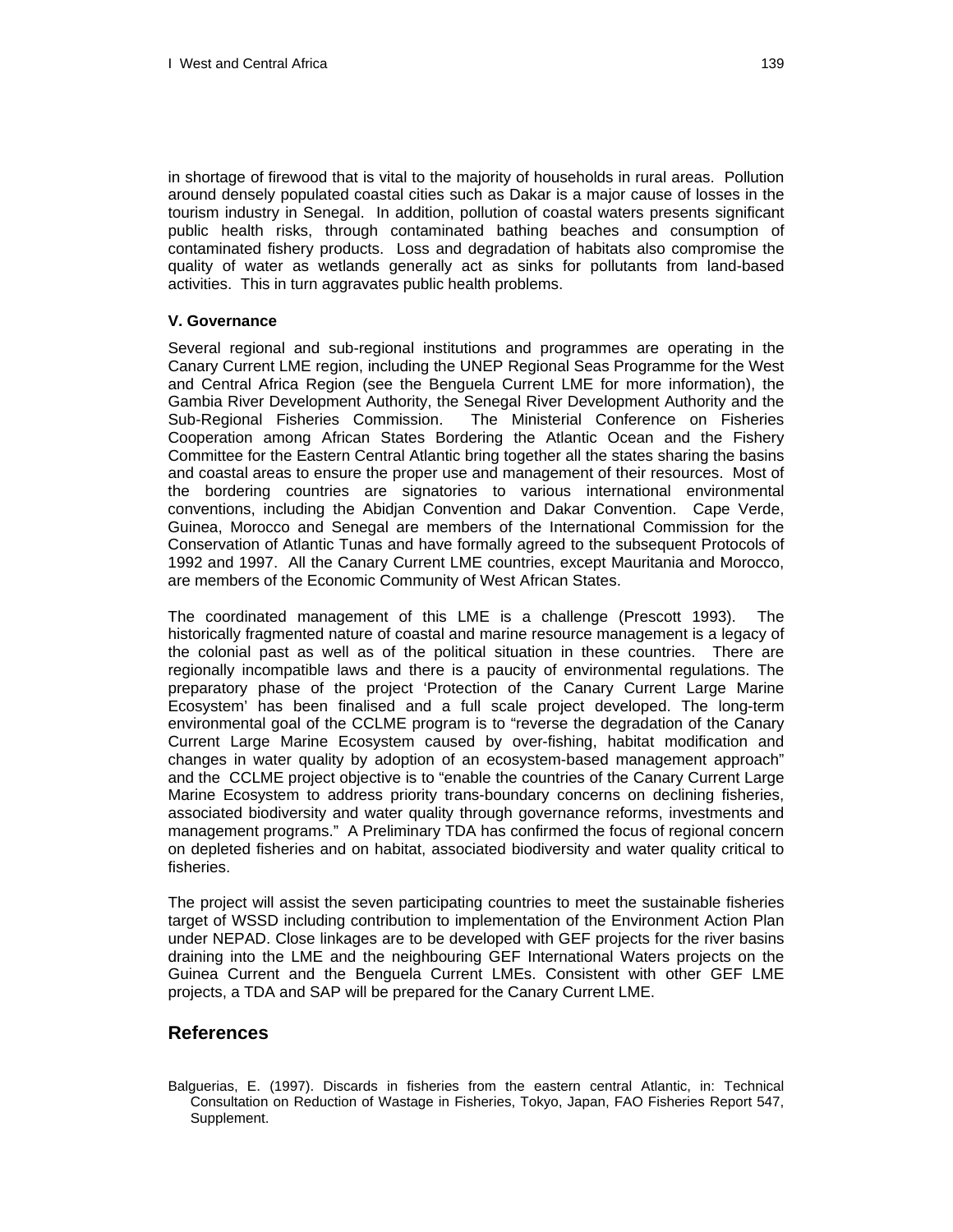in shortage of firewood that is vital to the majority of households in rural areas. Pollution around densely populated coastal cities such as Dakar is a major cause of losses in the tourism industry in Senegal. In addition, pollution of coastal waters presents significant public health risks, through contaminated bathing beaches and consumption of contaminated fishery products. Loss and degradation of habitats also compromise the quality of water as wetlands generally act as sinks for pollutants from land-based activities. This in turn aggravates public health problems.

#### **V. Governance**

Several regional and sub-regional institutions and programmes are operating in the Canary Current LME region, including the UNEP Regional Seas Programme for the West and Central Africa Region (see the Benguela Current LME for more information), the Gambia River Development Authority, the Senegal River Development Authority and the Sub-Regional Fisheries Commission. The Ministerial Conference on Fisheries Cooperation among African States Bordering the Atlantic Ocean and the Fishery Committee for the Eastern Central Atlantic bring together all the states sharing the basins and coastal areas to ensure the proper use and management of their resources. Most of the bordering countries are signatories to various international environmental conventions, including the Abidjan Convention and Dakar Convention. Cape Verde, Guinea, Morocco and Senegal are members of the International Commission for the Conservation of Atlantic Tunas and have formally agreed to the subsequent Protocols of 1992 and 1997. All the Canary Current LME countries, except Mauritania and Morocco, are members of the Economic Community of West African States.

The coordinated management of this LME is a challenge (Prescott 1993). The historically fragmented nature of coastal and marine resource management is a legacy of the colonial past as well as of the political situation in these countries. There are regionally incompatible laws and there is a paucity of environmental regulations. The preparatory phase of the project 'Protection of the Canary Current Large Marine Ecosystem' has been finalised and a full scale project developed. The long-term environmental goal of the CCLME program is to "reverse the degradation of the Canary Current Large Marine Ecosystem caused by over-fishing, habitat modification and changes in water quality by adoption of an ecosystem-based management approach" and the CCLME project objective is to "enable the countries of the Canary Current Large Marine Ecosystem to address priority trans-boundary concerns on declining fisheries, associated biodiversity and water quality through governance reforms, investments and management programs." A Preliminary TDA has confirmed the focus of regional concern on depleted fisheries and on habitat, associated biodiversity and water quality critical to fisheries.

The project will assist the seven participating countries to meet the sustainable fisheries target of WSSD including contribution to implementation of the Environment Action Plan under NEPAD. Close linkages are to be developed with GEF projects for the river basins draining into the LME and the neighbouring GEF International Waters projects on the Guinea Current and the Benguela Current LMEs. Consistent with other GEF LME projects, a TDA and SAP will be prepared for the Canary Current LME.

## **References**

Balguerias, E. (1997). Discards in fisheries from the eastern central Atlantic, in: Technical Consultation on Reduction of Wastage in Fisheries, Tokyo, Japan, FAO Fisheries Report 547, Supplement.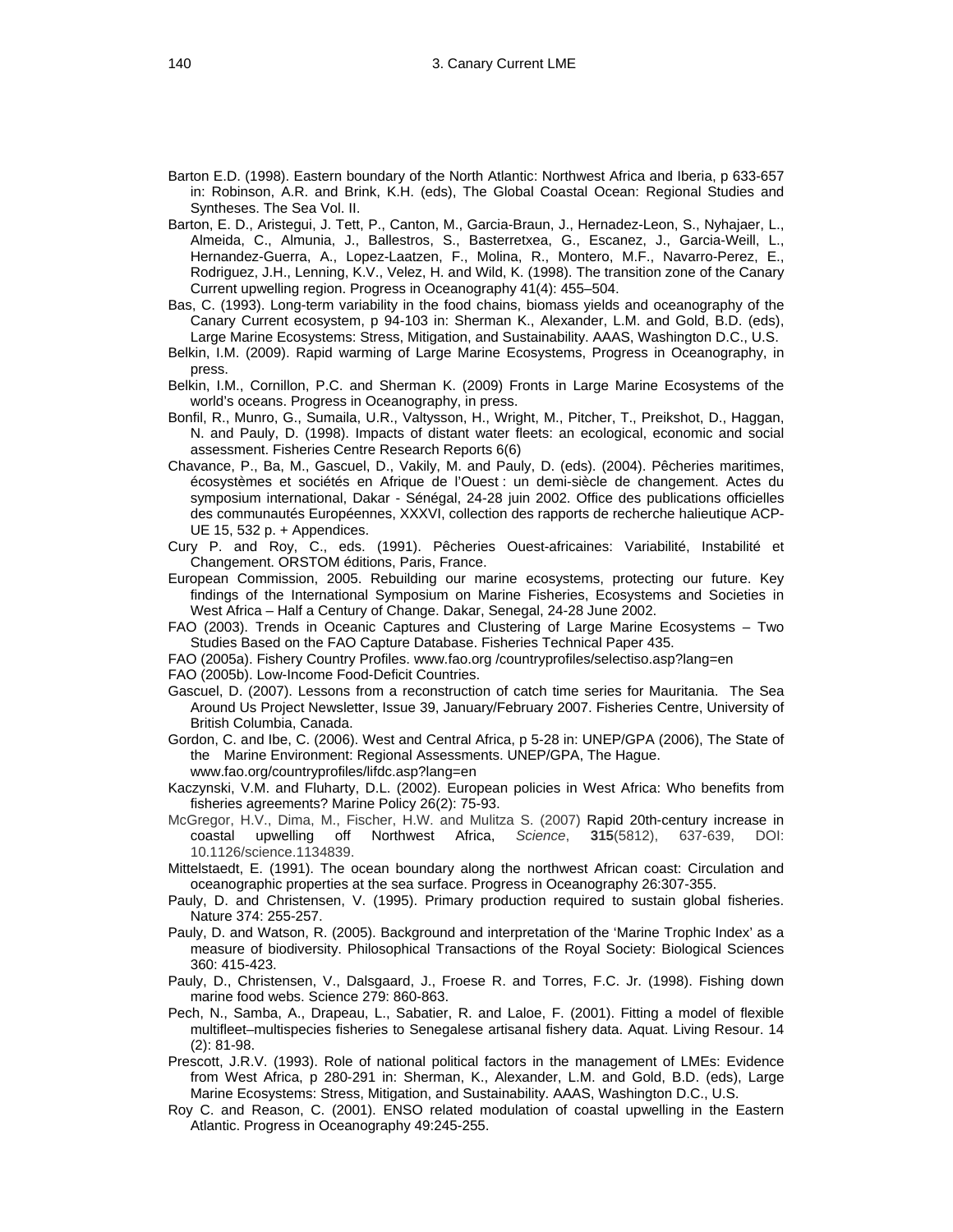- Barton E.D. (1998). Eastern boundary of the North Atlantic: Northwest Africa and Iberia, p 633-657 in: Robinson, A.R. and Brink, K.H. (eds), The Global Coastal Ocean: Regional Studies and Syntheses. The Sea Vol. II.
- Barton, E. D., Aristegui, J. Tett, P., Canton, M., Garcia-Braun, J., Hernadez-Leon, S., Nyhajaer, L., Almeida, C., Almunia, J., Ballestros, S., Basterretxea, G., Escanez, J., Garcia-Weill, L., Hernandez-Guerra, A., Lopez-Laatzen, F., Molina, R., Montero, M.F., Navarro-Perez, E., Rodriguez, J.H., Lenning, K.V., Velez, H. and Wild, K. (1998). The transition zone of the Canary Current upwelling region. Progress in Oceanography 41(4): 455–504.
- Bas, C. (1993). Long-term variability in the food chains, biomass yields and oceanography of the Canary Current ecosystem, p 94-103 in: Sherman K., Alexander, L.M. and Gold, B.D. (eds), Large Marine Ecosystems: Stress, Mitigation, and Sustainability. AAAS, Washington D.C., U.S.
- Belkin, I.M. (2009). Rapid warming of Large Marine Ecosystems, Progress in Oceanography, in press.
- Belkin, I.M., Cornillon, P.C. and Sherman K. (2009) Fronts in Large Marine Ecosystems of the world's oceans. Progress in Oceanography, in press.
- Bonfil, R., Munro, G., Sumaila, U.R., Valtysson, H., Wright, M., Pitcher, T., Preikshot, D., Haggan, N. and Pauly, D. (1998). Impacts of distant water fleets: an ecological, economic and social assessment. Fisheries Centre Research Reports 6(6)
- Chavance, P., Ba, M., Gascuel, D., Vakily, M. and Pauly, D. (eds). (2004). Pêcheries maritimes, écosystèmes et sociétés en Afrique de l'Ouest : un demi-siècle de changement. Actes du symposium international, Dakar - Sénégal, 24-28 juin 2002. Office des publications officielles des communautés Européennes, XXXVI, collection des rapports de recherche halieutique ACP-UE 15, 532 p. + Appendices.
- Cury P. and Roy, C., eds. (1991). Pêcheries Ouest-africaines: Variabilité, Instabilité et Changement. ORSTOM éditions, Paris, France.
- European Commission, 2005. Rebuilding our marine ecosystems, protecting our future. Key findings of the International Symposium on Marine Fisheries, Ecosystems and Societies in West Africa – Half a Century of Change. Dakar, Senegal, 24-28 June 2002.
- FAO (2003). Trends in Oceanic Captures and Clustering of Large Marine Ecosystems Two Studies Based on the FAO Capture Database. Fisheries Technical Paper 435.
- FAO (2005a). Fishery Country Profiles. www.fao.org /countryprofiles/selectiso.asp?lang=en
- FAO (2005b). Low-Income Food-Deficit Countries.
- Gascuel, D. (2007). Lessons from a reconstruction of catch time series for Mauritania. The Sea Around Us Project Newsletter, Issue 39, January/February 2007. Fisheries Centre, University of British Columbia, Canada.
- Gordon, C. and Ibe, C. (2006). West and Central Africa, p 5-28 in: UNEP/GPA (2006), The State of the Marine Environment: Regional Assessments. UNEP/GPA, The Hague. www.fao.org/countryprofiles/lifdc.asp?lang=en
- Kaczynski, V.M. and Fluharty, D.L. (2002). European policies in West Africa: Who benefits from fisheries agreements? Marine Policy 26(2): 75-93.
- McGregor, H.V., Dima, M., Fischer, H.W. and Mulitza S. (2007) Rapid 20th-century increase in coastal upwelling off Northwest Africa, *Science*, **315**(5812), 637-639, DOI: 10.1126/science.1134839.
- Mittelstaedt, E. (1991). The ocean boundary along the northwest African coast: Circulation and oceanographic properties at the sea surface. Progress in Oceanography 26:307-355.
- Pauly, D. and Christensen, V. (1995). Primary production required to sustain global fisheries. Nature 374: 255-257.
- Pauly, D. and Watson, R. (2005). Background and interpretation of the 'Marine Trophic Index' as a measure of biodiversity. Philosophical Transactions of the Royal Society: Biological Sciences 360: 415-423.
- Pauly, D., Christensen, V., Dalsgaard, J., Froese R. and Torres, F.C. Jr. (1998). Fishing down marine food webs. Science 279: 860-863.
- Pech, N., Samba, A., Drapeau, L., Sabatier, R. and Laloe, F. (2001). Fitting a model of flexible multifleet–multispecies fisheries to Senegalese artisanal fishery data. Aquat. Living Resour. 14 (2): 81-98.
- Prescott, J.R.V. (1993). Role of national political factors in the management of LMEs: Evidence from West Africa, p 280-291 in: Sherman, K., Alexander, L.M. and Gold, B.D. (eds), Large Marine Ecosystems: Stress, Mitigation, and Sustainability. AAAS, Washington D.C., U.S.
- Roy C. and Reason, C. (2001). ENSO related modulation of coastal upwelling in the Eastern Atlantic. Progress in Oceanography 49:245-255.